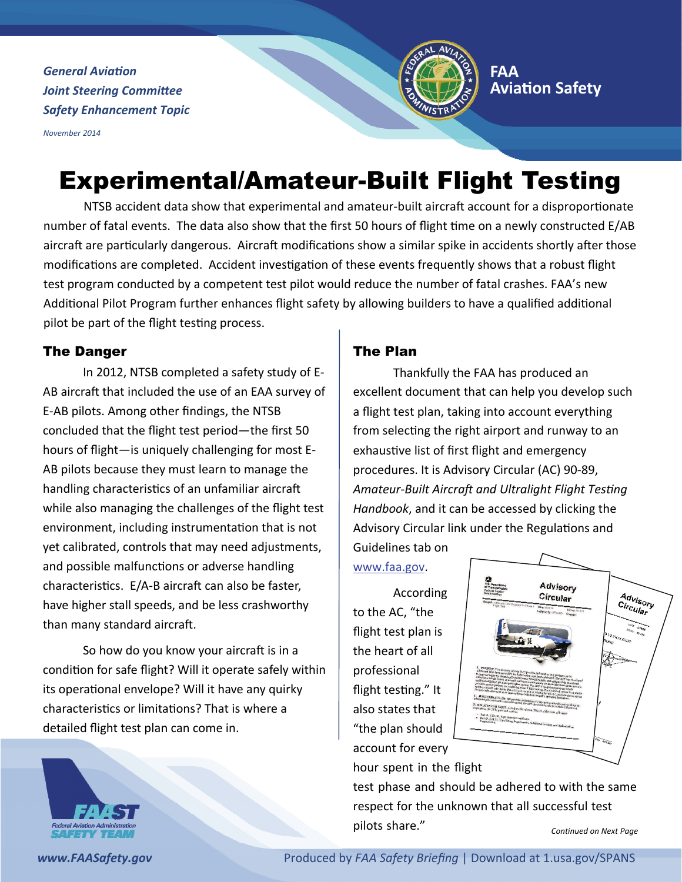*General Aviation Joint Steering Committee Safety Enhancement Topic*

*November 2014*



## **[FAA](http://www.faa.gov/about/office_org/headquarters_offices/avs/) AviaƟon [Safety](http://www.faa.gov/about/office_org/headquarters_offices/avs/)**

# Experimental/Amateur-Built Flight Testing

NTSB accident data show that experimental and amateur-built aircraft account for a disproportionate number of fatal events. The data also show that the first 50 hours of flight time on a newly constructed E/AB aircraft are particularly dangerous. Aircraft modifications show a similar spike in accidents shortly after those modifications are completed. Accident investigation of these events frequently shows that a robust flight test program conducted by a competent test pilot would reduce the number of fatal crashes. FAA's new Additional Pilot Program further enhances flight safety by allowing builders to have a qualified additional pilot be part of the flight testing process.

## The Danger

In 2012, NTSB completed a safety study of E‐ AB aircraft that included the use of an EAA survey of E‐AB pilots. Among other findings, the NTSB concluded that the flight test period—the first 50 hours of flight—is uniquely challenging for most E‐ AB pilots because they must learn to manage the handling characteristics of an unfamiliar aircraft while also managing the challenges of the flight test environment, including instrumentation that is not yet calibrated, controls that may need adjustments, and possible malfunctions or adverse handling characteristics. E/A-B aircraft can also be faster, have higher stall speeds, and be less crashworthy than many standard aircraft.

So how do you know your aircraft is in a condition for safe flight? Will it operate safely within its operational envelope? Will it have any quirky characteristics or limitations? That is where a detailed flight test plan can come in.

## The Plan

Thankfully the FAA has produced an excellent document that can help you develop such a flight test plan, taking into account everything from selecting the right airport and runway to an exhaustive list of first flight and emergency procedures. It is Advisory Circular (AC) 90‐89, *Amateur‐Built AircraŌ and Ultralight Flight TesƟng Handbook*, and it can be accessed by clicking the Advisory Circular link under the Regulations and Guidelines tab on

[www.faa.gov](http://www.faa.gov).

According to the AC, "the flight test plan is the heart of all professional flight testing." It also states that "the plan should account for every hour spent in the flight



test phase and should be adhered to with the same respect for the unknown that all successful test pilots share." *ConƟnued on Next Page*